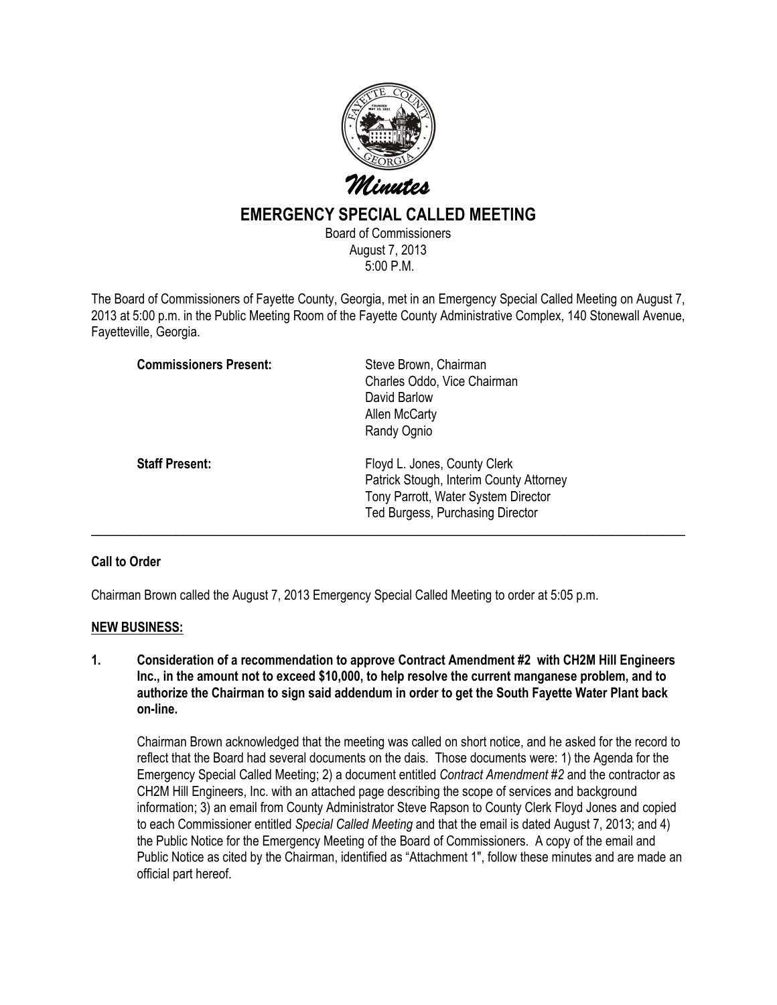

## EMERGENCY SPECIAL CALLED MEETING

Board of Commissioners August 7, 2013 5:00 P.M.

The Board of Commissioners of Fayette County, Georgia, met in an Emergency Special Called Meeting on August 7, 2013 at 5:00 p.m. in the Public Meeting Room of the Fayette County Administrative Complex, 140 Stonewall Avenue, Fayetteville, Georgia.

| <b>Commissioners Present:</b> | Steve Brown, Chairman<br>Charles Oddo, Vice Chairman<br>David Barlow<br>Allen McCarty<br>Randy Ognio                                               |
|-------------------------------|----------------------------------------------------------------------------------------------------------------------------------------------------|
| <b>Staff Present:</b>         | Floyd L. Jones, County Clerk<br>Patrick Stough, Interim County Attorney<br>Tony Parrott, Water System Director<br>Ted Burgess, Purchasing Director |

## Call to Order

Chairman Brown called the August 7, 2013 Emergency Special Called Meeting to order at 5:05 p.m.

## NEW BUSINESS:

1. Consideration of a recommendation to approve Contract Amendment #2 with CH2M Hill Engineers Inc., in the amount not to exceed \$10,000, to help resolve the current manganese problem, and to authorize the Chairman to sign said addendum in order to get the South Fayette Water Plant back on-line.

Chairman Brown acknowledged that the meeting was called on short notice, and he asked for the record to reflect that the Board had several documents on the dais. Those documents were: 1) the Agenda for the Emergency Special Called Meeting; 2) a document entitled Contract Amendment #2 and the contractor as CH2M Hill Engineers, Inc. with an attached page describing the scope of services and background information; 3) an email from County Administrator Steve Rapson to County Clerk Floyd Jones and copied to each Commissioner entitled Special Called Meeting and that the email is dated August 7, 2013; and 4) the Public Notice for the Emergency Meeting of the Board of Commissioners. A copy of the email and Public Notice as cited by the Chairman, identified as "Attachment 1", follow these minutes and are made an official part hereof.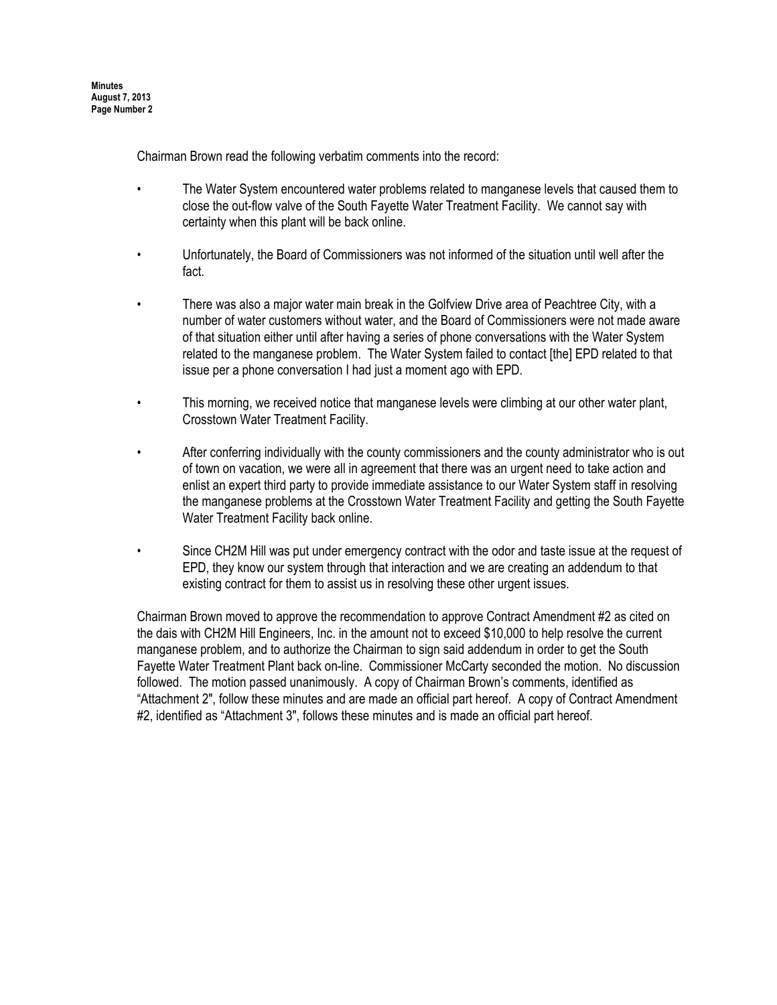Minutes August 7, 2013 Page Number 2

Chairman Brown read the following verbatim comments into the record:

- The Water System encountered water problems related to manganese levels that caused them to close the out-flow valve of the South Fayette Water Treatment Facility. We cannot say with certainty when this plant will be back online.
- Unfortunately, the Board of Commissioners was not informed of the situation until well after the fact.
- There was also a major water main break in the Golfview Drive area of Peachtree City, with a number of water customers without water, and the Board of Commissioners were not made aware of that situation either until after having a series of phone conversations with the Water System related to the manganese problem. The Water System failed to contact [the] EPD related to that issue per a phone conversation I had just a moment ago with EPD.
- This morning, we received notice that manganese levels were climbing at our other water plant, Crosstown Water Treatment Facility.
- After conferring individually with the county commissioners and the county administrator who is out of town on vacation, we were all in agreement that there was an urgent need to take action and enlist an expert third party to provide immediate assistance to our Water System staff in resolving the manganese problems at the Crosstown Water Treatment Facility and getting the South Fayette Water Treatment Facility back online.
- Since CH2M Hill was put under emergency contract with the odor and taste issue at the request of EPD, they know our system through that interaction and we are creating an addendum to that existing contract for them to assist us in resolving these other urgent issues.

Chairman Brown moved to approve the recommendation to approve Contract Amendment #2 as cited on the dais with CH2M Hill Engineers, Inc. in the amount not to exceed \$10,000 to help resolve the current manganese problem, and to authorize the Chairman to sign said addendum in order to get the South Fayette Water Treatment Plant back on-line. Commissioner McCarty seconded the motion. No discussion followed. The motion passed unanimously. A copy of Chairman Brown's comments, identified as "Attachment 2", follow these minutes and are made an official part hereof. A copy of Contract Amendment #2, identified as "Attachment 3", follows these minutes and is made an official part hereof.